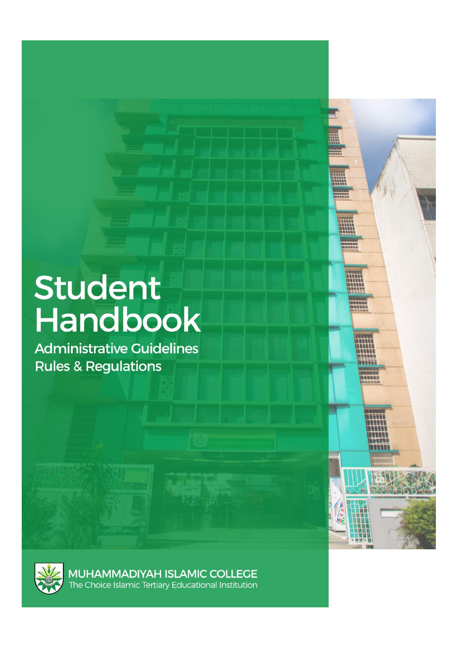# <span id="page-0-0"></span>Student<br>Handbook

**Administrative Guidelines Rules & Regulations** 





**MUHAMMADIYAH ISLAMIC COLLEGE**<br>The Choice Islamic Tertiary Educational Institution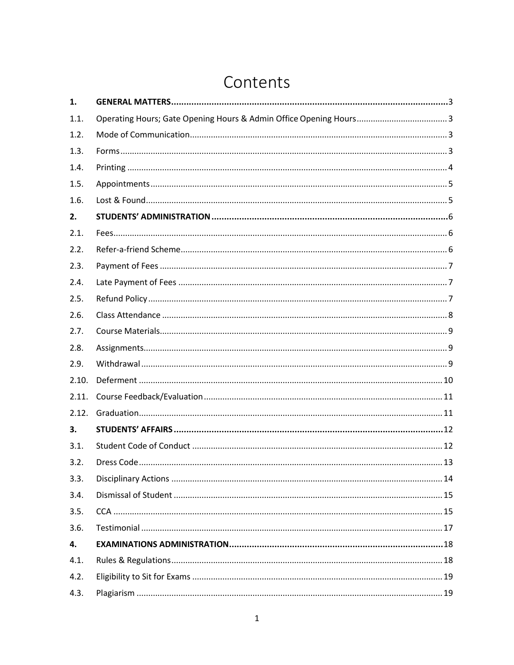# Contents

| 1.    |  |
|-------|--|
| 1.1.  |  |
| 1.2.  |  |
| 1.3.  |  |
| 1.4.  |  |
| 1.5.  |  |
| 1.6.  |  |
| 2.    |  |
| 2.1.  |  |
| 2.2.  |  |
| 2.3.  |  |
| 2.4.  |  |
| 2.5.  |  |
| 2.6.  |  |
| 2.7.  |  |
| 2.8.  |  |
| 2.9.  |  |
| 2.10. |  |
| 2.11. |  |
| 2.12. |  |
| 3.    |  |
| 3.1.  |  |
| 3.2.  |  |
| 3.3.  |  |
| 3.4.  |  |
| 3.5.  |  |
| 3.6.  |  |
| 4.    |  |
| 4.1.  |  |
| 4.2.  |  |
| 4.3.  |  |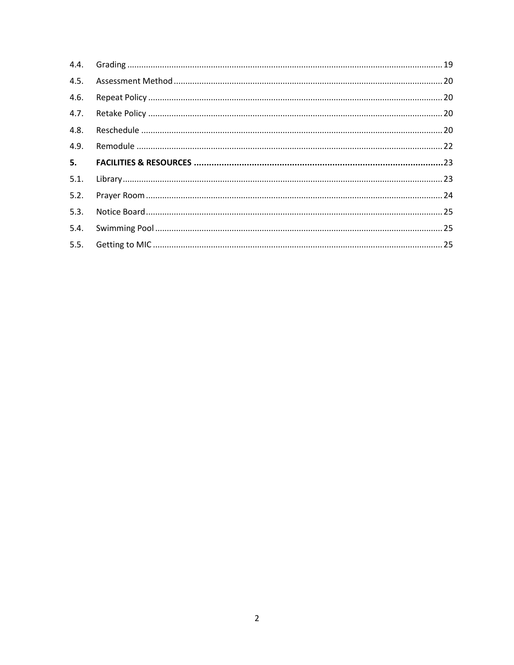| 4.5. |  |
|------|--|
| 4.6. |  |
| 4.7. |  |
| 4.8. |  |
| 4.9. |  |
|      |  |
| 5.   |  |
| 5.1. |  |
| 5.2. |  |
| 5.3. |  |
| 5.4. |  |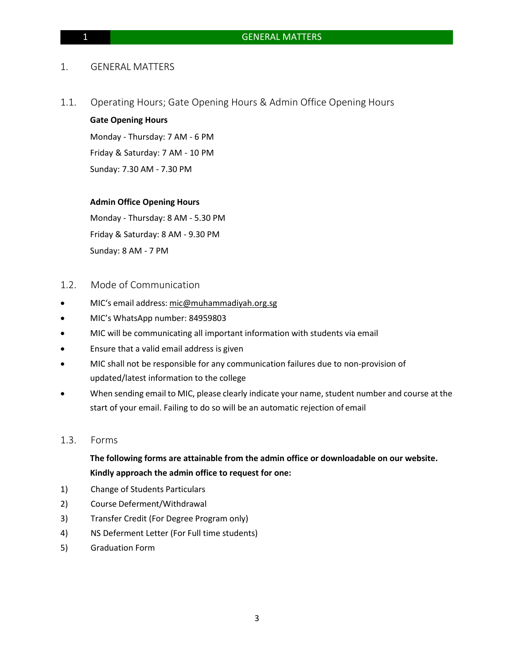### 1. GENERAL MATTERS

1.1. Operating Hours; Gate Opening Hours & Admin Office Opening Hours

### **Gate Opening Hours**

Monday - Thursday: 7 AM - 6 PM Friday & Saturday: 7 AM - 10 PM Sunday: 7.30 AM - 7.30 PM

### **Admin Office Opening Hours**

Monday - Thursday: 8 AM - 5.30 PM Friday & Saturday: 8 AM - 9.30 PM Sunday: 8 AM - 7 PM

- 1.2. Mode of Communication
- MIC's email address: [mic@muhammadiyah.org.sg](mailto:mic@muhammadiyah.org.sg)
- MIC's WhatsApp number: 84959803
- MIC will be communicating all important information with students via email
- Ensure that a valid email address is given
- MIC shall not be responsible for any communication failures due to non-provision of updated/latest information to the college
- When sending email to MIC, please clearly indicate your name, student number and course at the start of your email. Failing to do so will be an automatic rejection of email

### 1.3. Forms

## **The following forms are attainable from the admin office or downloadable on our website. Kindly approach the admin office to request for one:**

- 1) Change of Students Particulars
- 2) Course Deferment/Withdrawal
- 3) Transfer Credit (For Degree Program only)
- 4) NS Deferment Letter (For Full time students)
- 5) Graduation Form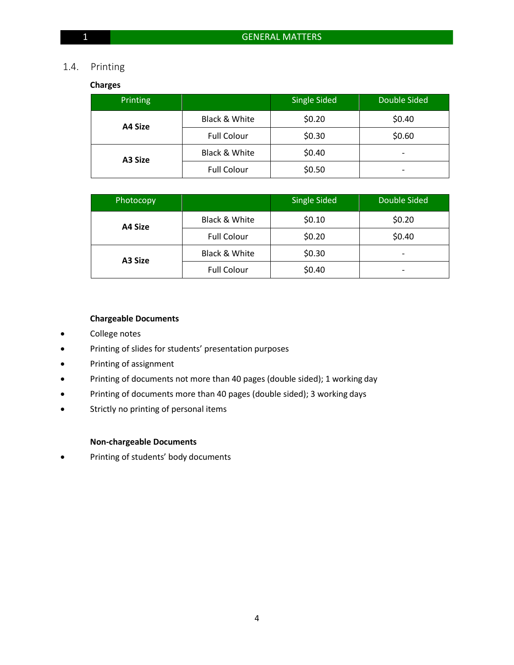### 1.4. Printing

### **Charges**

| Printing |                    | <b>Single Sided</b> | Double Sided |  |
|----------|--------------------|---------------------|--------------|--|
| A4 Size  | Black & White      | \$0.20              | \$0.40       |  |
|          | <b>Full Colour</b> | \$0.30              | \$0.60       |  |
| A3 Size  | Black & White      | \$0.40              | -            |  |
|          | <b>Full Colour</b> | \$0.50              |              |  |

| <b>Photocopy</b> |                    | Single Sided | Double Sided             |  |
|------------------|--------------------|--------------|--------------------------|--|
| A4 Size          | Black & White      | \$0.10       |                          |  |
|                  | <b>Full Colour</b> | \$0.20       | \$0.40                   |  |
| A3 Size          | Black & White      | \$0.30       | $\overline{\phantom{a}}$ |  |
|                  | <b>Full Colour</b> | \$0.40       | -                        |  |

### **Chargeable Documents**

- College notes
- Printing of slides for students' presentation purposes
- Printing of assignment
- Printing of documents not more than 40 pages (double sided); 1 working day
- Printing of documents more than 40 pages (double sided); 3 working days
- Strictly no printing of personal items

### **Non-chargeable Documents**

• Printing of students' body documents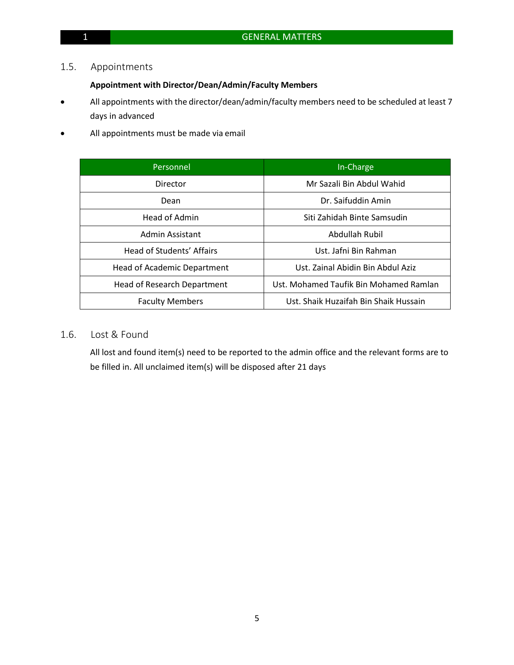### 1.5. Appointments

### **Appointment with Director/Dean/Admin/Faculty Members**

- All appointments with the director/dean/admin/faculty members need to be scheduled at least 7 days in advanced
- All appointments must be made via email

| Personnel                          | In-Charge                              |
|------------------------------------|----------------------------------------|
| Director                           | Mr Sazali Bin Abdul Wahid              |
| Dean                               | Dr. Saifuddin Amin                     |
| Head of Admin                      | Siti Zahidah Binte Samsudin            |
| Admin Assistant                    | Abdullah Rubil                         |
| Head of Students' Affairs          | Ust. Jafni Bin Rahman                  |
| <b>Head of Academic Department</b> | Ust. Zainal Abidin Bin Abdul Aziz      |
| Head of Research Department        | Ust. Mohamed Taufik Bin Mohamed Ramlan |
| <b>Faculty Members</b>             | Ust. Shaik Huzaifah Bin Shaik Hussain  |

## 1.6. Lost & Found

All lost and found item(s) need to be reported to the admin office and the relevant forms are to be filled in. All unclaimed item(s) will be disposed after 21 days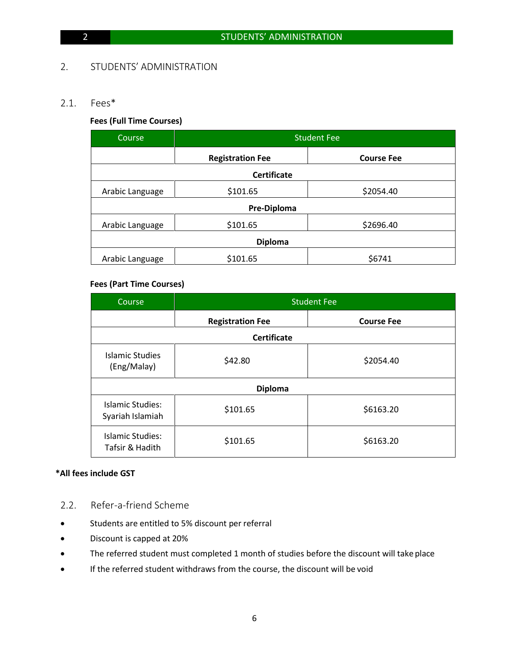### 2. STUDENTS' ADMINISTRATION

### 2.1. Fees\*

### **Fees (Full Time Courses)**

| Course                      | <b>Student Fee</b>      |                   |  |  |  |
|-----------------------------|-------------------------|-------------------|--|--|--|
|                             | <b>Registration Fee</b> | <b>Course Fee</b> |  |  |  |
|                             | <b>Certificate</b>      |                   |  |  |  |
| \$101.65<br>Arabic Language |                         | \$2054.40         |  |  |  |
|                             | Pre-Diploma             |                   |  |  |  |
| \$101.65<br>Arabic Language |                         | \$2696.40         |  |  |  |
| <b>Diploma</b>              |                         |                   |  |  |  |
| Arabic Language             | \$101.65                | \$6741            |  |  |  |

### **Fees (Part Time Courses)**

| Course                                      |                    | <b>Student Fee</b> |
|---------------------------------------------|--------------------|--------------------|
| <b>Registration Fee</b>                     |                    | <b>Course Fee</b>  |
|                                             | <b>Certificate</b> |                    |
| Islamic Studies<br>(Eng/Malay)              | \$42.80            | \$2054.40          |
|                                             | <b>Diploma</b>     |                    |
| <b>Islamic Studies:</b><br>Syariah Islamiah | \$101.65           | \$6163.20          |
| Islamic Studies:<br>Tafsir & Hadith         | \$101.65           | \$6163.20          |

### **\*All fees include GST**

- 2.2. Refer-a-friend Scheme
- Students are entitled to 5% discount per referral
- Discount is capped at 20%
- The referred student must completed 1 month of studies before the discount will take place
- If the referred student withdraws from the course, the discount will be void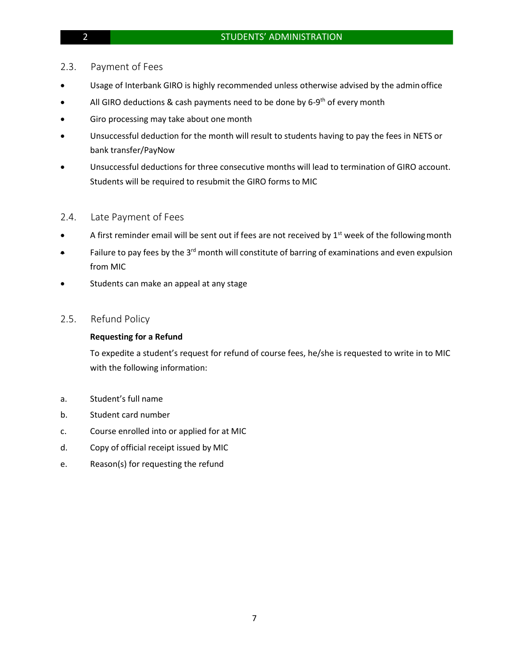### 2.3. Payment of Fees

- Usage of Interbank GIRO is highly recommended unless otherwise advised by the admin office
- All GIRO deductions & cash payments need to be done by 6-9<sup>th</sup> of every month
- Giro processing may take about one month
- Unsuccessful deduction for the month will result to students having to pay the fees in NETS or bank transfer/PayNow
- Unsuccessful deductions for three consecutive months will lead to termination of GIRO account. Students will be required to resubmit the GIRO forms to MIC

### 2.4. Late Payment of Fees

- A first reminder email will be sent out if fees are not received by 1<sup>st</sup> week of the following month
- $\bullet$  Failure to pay fees by the 3<sup>rd</sup> month will constitute of barring of examinations and even expulsion from MIC
- Students can make an appeal at any stage

### 2.5. Refund Policy

### **Requesting for a Refund**

To expedite a student's request for refund of course fees, he/she is requested to write in to MIC with the following information:

- a. Student's full name
- b. Student card number
- c. Course enrolled into or applied for at MIC
- d. Copy of official receipt issued by MIC
- e. Reason(s) for requesting the refund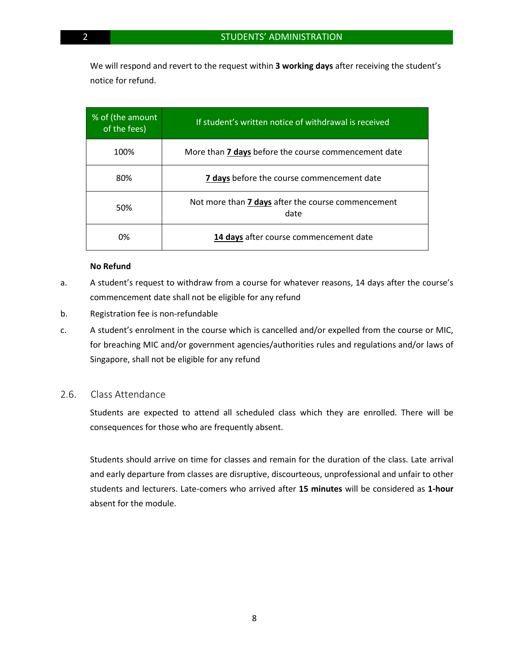We will respond and revert to the request within **3 working days** after receiving the student's notice for refund.

| % of (the amount<br>of the fees) | If student's written notice of withdrawal is received             |
|----------------------------------|-------------------------------------------------------------------|
| 100%                             | More than 7 days before the course commencement date              |
| 80%                              | 7 days before the course commencement date                        |
| 50%                              | Not more than <b>7 days</b> after the course commencement<br>date |
| 0%                               | 14 days after course commencement date                            |

### **No Refund**

- a. A student's request to withdraw from a course for whatever reasons, 14 days after the course's commencement date shall not be eligible for any refund
- b. Registration fee is non-refundable
- c. A student's enrolment in the course which is cancelled and/or expelled from the course or MIC, for breaching MIC and/or government agencies/authorities rules and regulations and/or laws of Singapore, shall not be eligible for any refund

### 2.6. Class Attendance

Students are expected to attend all scheduled class which they are enrolled. There will be consequences for those who are frequently absent.

Students should arrive on time for classes and remain for the duration of the class. Late arrival and early departure from classes are disruptive, discourteous, unprofessional and unfair to other students and lecturers. Late-comers who arrived after **15 minutes** will be considered as **1-hour**  absent for the module.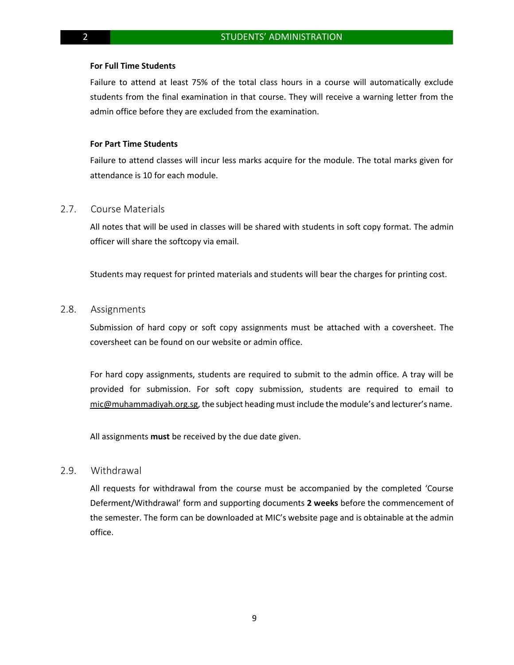### **For Full Time Students**

Failure to attend at least 75% of the total class hours in a course will automatically exclude students from the final examination in that course. They will receive a warning letter from the admin office before they are excluded from the examination.

### **For Part Time Students**

Failure to attend classes will incur less marks acquire for the module. The total marks given for attendance is 10 for each module.

### 2.7. Course Materials

All notes that will be used in classes will be shared with students in soft copy format. The admin officer will share the softcopy via email.

Students may request for printed materials and students will bear the charges for printing cost.

### 2.8. Assignments

Submission of hard copy or soft copy assignments must be attached with a coversheet. The coversheet can be found on our website or admin office.

For hard copy assignments, students are required to submit to the admin office. A tray will be provided for submission. For soft copy submission, students are required to email to [mic@muhammadiyah.org.sg,](mailto:mic@muhammadiyah.org.sg) the subject headingmust include the module's and lecturer's name.

All assignments **must** be received by the due date given.

### 2.9. Withdrawal

All requests for withdrawal from the course must be accompanied by the completed 'Course Deferment/Withdrawal' form and supporting documents **2 weeks** before the commencement of the semester. The form can be downloaded at MIC's website page and is obtainable at the admin office.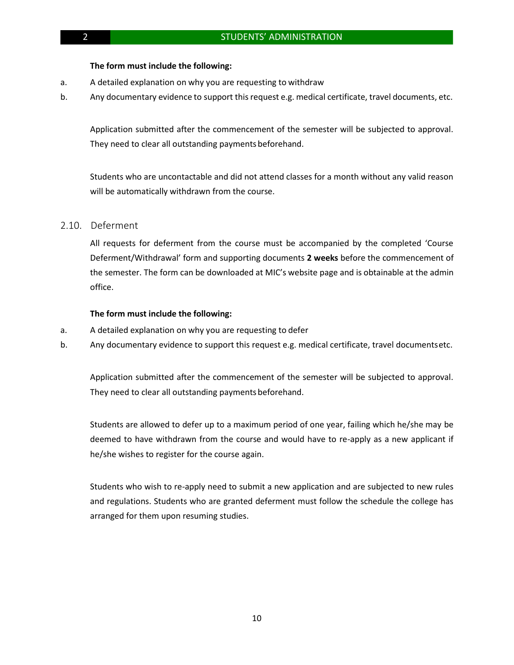### **The form must include the following:**

- a. A detailed explanation on why you are requesting to withdraw
- b. Any documentary evidence to support thisrequest e.g. medical certificate, travel documents, etc.

Application submitted after the commencement of the semester will be subjected to approval. They need to clear all outstanding payments beforehand.

Students who are uncontactable and did not attend classes for a month without any valid reason will be automatically withdrawn from the course.

### 2.10. Deferment

All requests for deferment from the course must be accompanied by the completed 'Course Deferment/Withdrawal' form and supporting documents **2 weeks** before the commencement of the semester. The form can be downloaded at MIC's website page and is obtainable at the admin office.

### **The form must include the following:**

- a. A detailed explanation on why you are requesting to defer
- b. Any documentary evidence to support this request e.g. medical certificate, travel documentsetc.

Application submitted after the commencement of the semester will be subjected to approval. They need to clear all outstanding payments beforehand.

Students are allowed to defer up to a maximum period of one year, failing which he/she may be deemed to have withdrawn from the course and would have to re-apply as a new applicant if he/she wishes to register for the course again.

Students who wish to re-apply need to submit a new application and are subjected to new rules and regulations. Students who are granted deferment must follow the schedule the college has arranged for them upon resuming studies.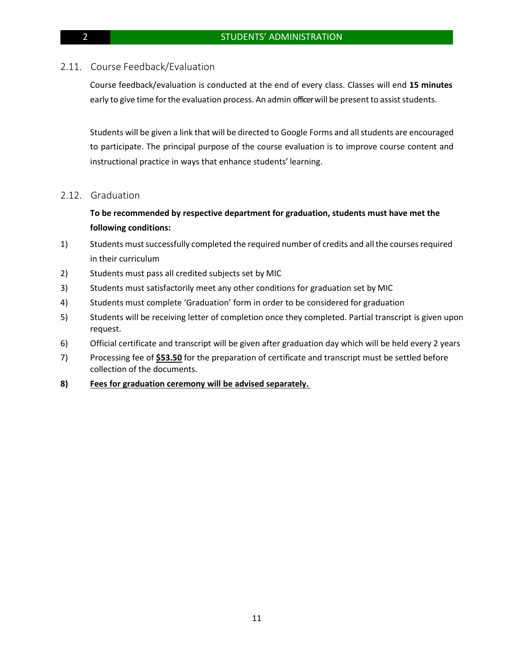### 2.11. Course Feedback/Evaluation

Course feedback/evaluation is conducted at the end of every class. Classes will end **15 minutes** early to give time for the evaluation process. An admin officer will be present to assist students.

Students will be given a link that will be directed to Google Forms and allstudents are encouraged to participate. The principal purpose of the course evaluation is to improve course content and instructional practice in ways that enhance students' learning.

### 2.12. Graduation

### **To be recommended by respective department for graduation, students must have met the following conditions:**

- 1) Students must successfully completed the required number of credits and all the courses required in their curriculum
- 2) Students must pass all credited subjects set by MIC
- 3) Students must satisfactorily meet any other conditions for graduation set by MIC
- 4) Students must complete 'Graduation' form in order to be considered for graduation
- 5) Students will be receiving letter of completion once they completed. Partial transcript is given upon request.
- 6) Official certificate and transcript will be given after graduation day which will be held every 2 years
- 7) Processing fee of **\$53.50** for the preparation of certificate and transcript must be settled before collection of the documents.
- **8) Fees for graduation ceremony will be advised separately.**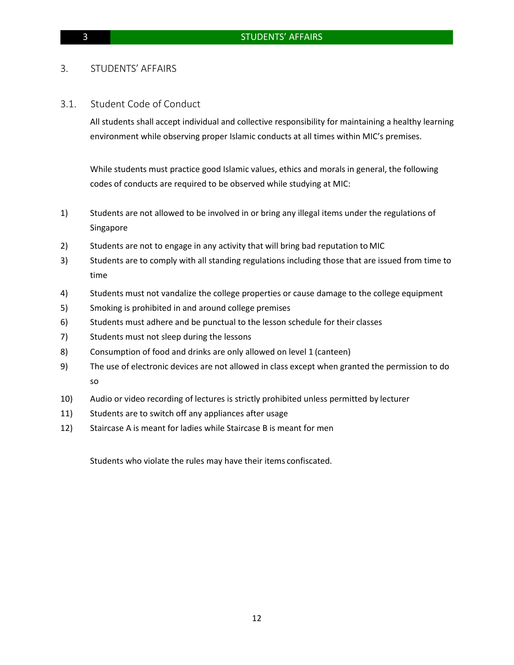### 3. STUDENTS' AFFAIRS

### 3.1. Student Code of Conduct

All students shall accept individual and collective responsibility for maintaining a healthy learning environment while observing proper Islamic conducts at all times within MIC's premises.

While students must practice good Islamic values, ethics and morals in general, the following codes of conducts are required to be observed while studying at MIC:

- 1) Students are not allowed to be involved in or bring any illegal items under the regulations of Singapore
- 2) Students are not to engage in any activity that will bring bad reputation to MIC
- 3) Students are to comply with all standing regulations including those that are issued from time to time
- 4) Students must not vandalize the college properties or cause damage to the college equipment
- 5) Smoking is prohibited in and around college premises
- 6) Students must adhere and be punctual to the lesson schedule for their classes
- 7) Students must not sleep during the lessons
- 8) Consumption of food and drinks are only allowed on level 1 (canteen)
- 9) The use of electronic devices are not allowed in class except when granted the permission to do so
- 10) Audio or video recording of lectures is strictly prohibited unless permitted by lecturer
- 11) Students are to switch off any appliances after usage
- 12) Staircase A is meant for ladies while Staircase B is meant for men

Students who violate the rules may have their items confiscated.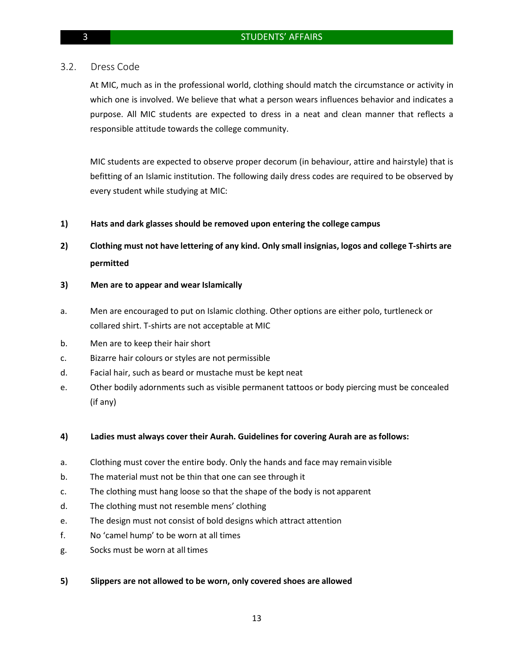### 3.2. Dress Code

At MIC, much as in the professional world, clothing should match the circumstance or activity in which one is involved. We believe that what a person wears influences behavior and indicates a purpose. All MIC students are expected to dress in a neat and clean manner that reflects a responsible attitude towards the college community.

MIC students are expected to observe proper decorum (in behaviour, attire and hairstyle) that is befitting of an Islamic institution. The following daily dress codes are required to be observed by every student while studying at MIC:

### **1) Hats and dark glasses should be removed upon entering the college campus**

- **2) Clothing must not have lettering of any kind. Only small insignias, logos and college T-shirts are permitted**
- **3) Men are to appear and wear Islamically**
- a. Men are encouraged to put on Islamic clothing. Other options are either polo, turtleneck or collared shirt. T-shirts are not acceptable at MIC
- b. Men are to keep their hair short
- c. Bizarre hair colours or styles are not permissible
- d. Facial hair, such as beard or mustache must be kept neat
- e. Other bodily adornments such as visible permanent tattoos or body piercing must be concealed (if any)

### **4) Ladies must always cover their Aurah. Guidelines for covering Aurah are asfollows:**

- a. Clothing must cover the entire body. Only the hands and face may remain visible
- b. The material must not be thin that one can see through it
- c. The clothing must hang loose so that the shape of the body is not apparent
- d. The clothing must not resemble mens' clothing
- e. The design must not consist of bold designs which attract attention
- f. No 'camel hump' to be worn at all times
- g. Socks must be worn at all times

### **5) Slippers are not allowed to be worn, only covered shoes are allowed**

13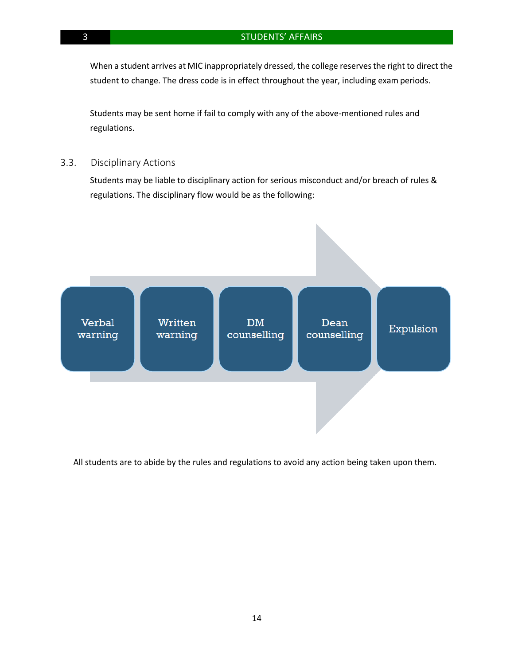When a student arrives at MIC inappropriately dressed, the college reserves the right to direct the student to change. The dress code is in effect throughout the year, including exam periods.

Students may be sent home if fail to comply with any of the above-mentioned rules and regulations.

3.3. Disciplinary Actions

Students may be liable to disciplinary action for serious misconduct and/or breach of rules & regulations. The disciplinary flow would be as the following:



All students are to abide by the rules and regulations to avoid any action being taken upon them.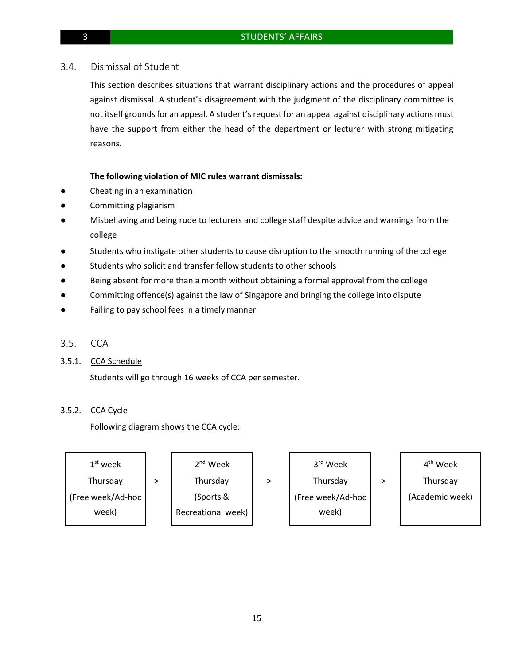### 3.4. Dismissal of Student

This section describes situations that warrant disciplinary actions and the procedures of appeal against dismissal. A student's disagreement with the judgment of the disciplinary committee is not itself grounds for an appeal. A student's request for an appeal against disciplinary actions must have the support from either the head of the department or lecturer with strong mitigating reasons.

### **The following violation of MIC rules warrant dismissals:**

- Cheating in an examination
- Committing plagiarism
- Misbehaving and being rude to lecturers and college staff despite advice and warnings from the college
- Students who instigate other students to cause disruption to the smooth running of the college
- Students who solicit and transfer fellow students to other schools
- Being absent for more than a month without obtaining a formal approval from the college
- Committing offence(s) against the law of Singapore and bringing the college into dispute
- Failing to pay school fees in a timely manner
- 3.5. CCA
- 3.5.1. CCA Schedule

Students will go through 16 weeks of CCA per semester.

### 3.5.2. CCA Cycle

Following diagram shows the CCA cycle:

| $1st$ week        | $2nd$ Week         | 3rd Week          | 4 <sup>th</sup> Week |
|-------------------|--------------------|-------------------|----------------------|
| Thursday          | Thursday           | Thursday          | Thursday             |
| (Free week/Ad-hoc | (Sports &          | (Free week/Ad-hoc | (Academic week)      |
| week)             | Recreational week) | week)             |                      |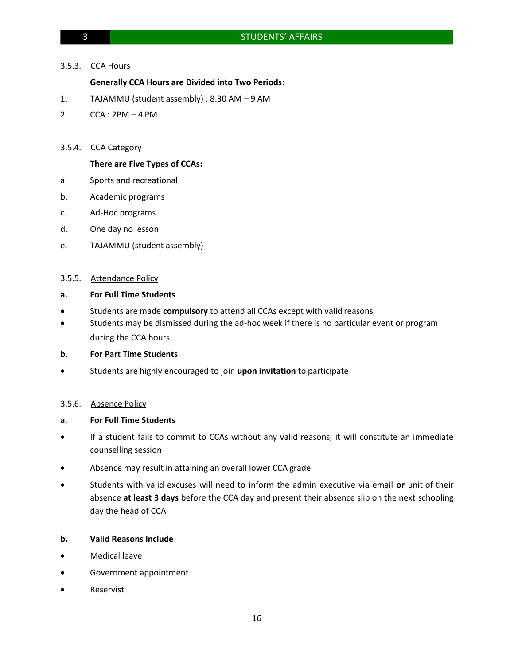### 3.5.3. CCA Hours

### **Generally CCA Hours are Divided into Two Periods:**

- 1. TAJAMMU (student assembly) : 8.30 AM 9 AM
- 2. CCA : 2PM 4 PM

### 3.5.4. CCA Category

### **There are Five Types of CCAs:**

- a. Sports and recreational
- b. Academic programs
- c. Ad-Hoc programs
- d. One day no lesson
- e. TAJAMMU (student assembly)

### 3.5.5. Attendance Policy

### **a. For Full Time Students**

- Students are made **compulsory** to attend all CCAs except with valid reasons
- Students may be dismissed during the ad-hoc week if there is no particular event or program during the CCA hours

### **b. For Part Time Students**

• Students are highly encouraged to join **upon invitation** to participate

### 3.5.6. Absence Policy

### **a. For Full Time Students**

- If a student fails to commit to CCAs without any valid reasons, it will constitute an immediate counselling session
- Absence may result in attaining an overall lower CCA grade
- Students with valid excuses will need to inform the admin executive via email **or** unit of their absence **at least 3 days** before the CCA day and present their absence slip on the next schooling day the head of CCA

### **b. Valid Reasons Include**

- Medical leave
- Government appointment
- Reservist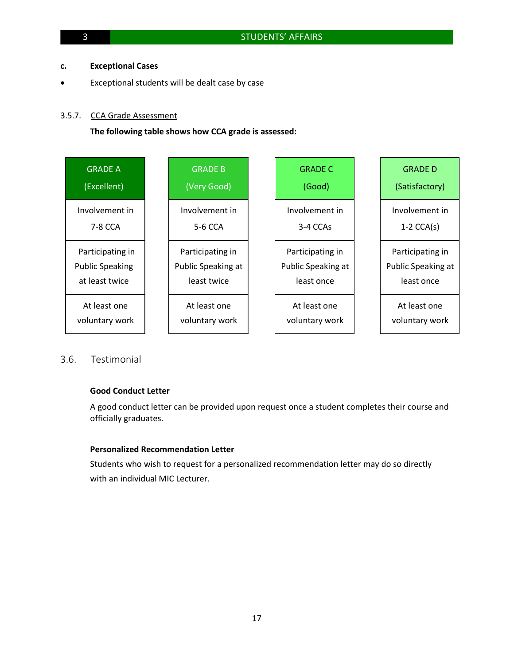### **c. Exceptional Cases**

Exceptional students will be dealt case by case

### 3.5.7. CCA Grade Assessment

**The following table shows how CCA grade is assessed:**

| <b>GRADE A</b>         | <b>GRADE B</b>     | <b>GRADE C</b>     | <b>GRADE D</b>     |
|------------------------|--------------------|--------------------|--------------------|
| (Excellent)            | (Very Good)        | (Good)             | (Satisfactory)     |
| Involvement in         | Involvement in     | Involvement in     | Involvement in     |
| 7-8 CCA                | 5-6 CCA            | 3-4 CCAs           | $1-2$ CCA(s)       |
| Participating in       | Participating in   | Participating in   | Participating in   |
| <b>Public Speaking</b> | Public Speaking at | Public Speaking at | Public Speaking at |
| at least twice         | least twice        | least once         | least once         |
| At least one           | At least one       | At least one       | At least one       |
| voluntary work         | voluntary work     | voluntary work     | voluntary work     |

### 3.6. Testimonial

### **Good Conduct Letter**

A good conduct letter can be provided upon request once a student completes their course and officially graduates.

### **Personalized Recommendation Letter**

Students who wish to request for a personalized recommendation letter may do so directly with an individual MIC Lecturer.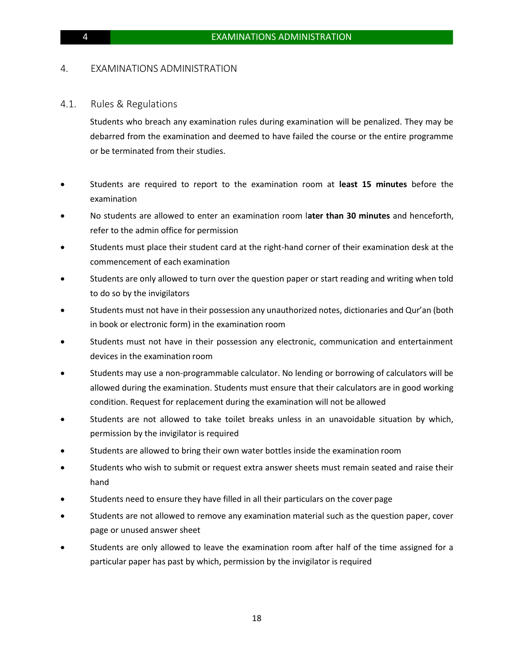### 4. EXAMINATIONS ADMINISTRATION

### 4.1. Rules & Regulations

Students who breach any examination rules during examination will be penalized. They may be debarred from the examination and deemed to have failed the course or the entire programme or be terminated from their studies.

- Students are required to report to the examination room at **least 15 minutes** before the examination
- No students are allowed to enter an examination room l**ater than 30 minutes** and henceforth, refer to the admin office for permission
- Students must place their student card at the right-hand corner of their examination desk at the commencement of each examination
- Students are only allowed to turn over the question paper or start reading and writing when told to do so by the invigilators
- Students must not have in their possession any unauthorized notes, dictionaries and Qur'an (both in book or electronic form) in the examination room
- Students must not have in their possession any electronic, communication and entertainment devices in the examination room
- Students may use a non-programmable calculator. No lending or borrowing of calculators will be allowed during the examination. Students must ensure that their calculators are in good working condition. Request for replacement during the examination will not be allowed
- Students are not allowed to take toilet breaks unless in an unavoidable situation by which, permission by the invigilator is required
- Students are allowed to bring their own water bottles inside the examination room
- Students who wish to submit or request extra answer sheets must remain seated and raise their hand
- Students need to ensure they have filled in all their particulars on the cover page
- Students are not allowed to remove any examination material such as the question paper, cover page or unused answer sheet
- Students are only allowed to leave the examination room after half of the time assigned for a particular paper has past by which, permission by the invigilator is required

18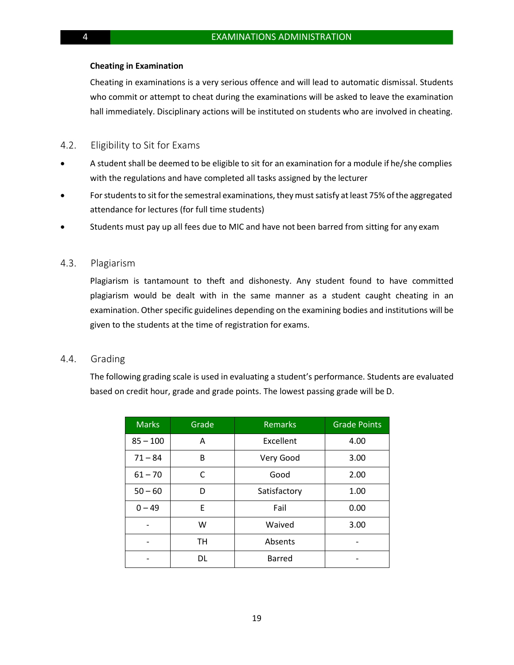### **Cheating in Examination**

Cheating in examinations is a very serious offence and will lead to automatic dismissal. Students who commit or attempt to cheat during the examinations will be asked to leave the examination hall immediately. Disciplinary actions will be instituted on students who are involved in cheating.

### 4.2. Eligibility to Sit for Exams

- A student shall be deemed to be eligible to sit for an examination for a module if he/she complies with the regulations and have completed all tasks assigned by the lecturer
- For students to sit for the semestral examinations, they must satisfy at least 75% of the aggregated attendance for lectures (for full time students)
- Students must pay up all fees due to MIC and have not been barred from sitting for any exam

### 4.3. Plagiarism

Plagiarism is tantamount to theft and dishonesty. Any student found to have committed plagiarism would be dealt with in the same manner as a student caught cheating in an examination. Other specific guidelines depending on the examining bodies and institutions will be given to the students at the time of registration for exams.

### 4.4. Grading

The following grading scale is used in evaluating a student's performance. Students are evaluated based on credit hour, grade and grade points. The lowest passing grade will be D.

| <b>Marks</b> | Grade     | <b>Remarks</b> | <b>Grade Points</b> |
|--------------|-----------|----------------|---------------------|
| $85 - 100$   | A         | Excellent      | 4.00                |
| $71 - 84$    | B         | Very Good      | 3.00                |
| $61 - 70$    | C         | Good           | 2.00                |
| $50 - 60$    | D         | Satisfactory   | 1.00                |
| $0 - 49$     | F         | Fail           | 0.00                |
|              | W         | Waived         | 3.00                |
|              | <b>TH</b> | Absents        |                     |
|              | <b>DL</b> | <b>Barred</b>  |                     |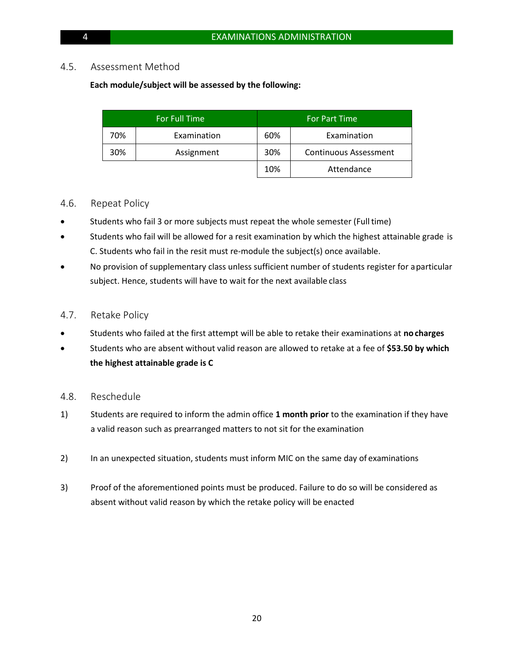### 4.5. Assessment Method

### **Each module/subject will be assessed by the following:**

|     | For Full Time |                                     | <b>For Part Time</b> |
|-----|---------------|-------------------------------------|----------------------|
| 70% | Examination   | 60%                                 | Examination          |
| 30% | Assignment    | 30%<br><b>Continuous Assessment</b> |                      |
|     |               | 10%                                 | Attendance           |

### 4.6. Repeat Policy

- Students who fail 3 or more subjects must repeat the whole semester (Full time)
- Students who fail will be allowed for a resit examination by which the highest attainable grade is C. Students who fail in the resit must re-module the subject(s) once available.
- No provision of supplementary class unless sufficient number of students register for aparticular subject. Hence, students will have to wait for the next available class

### 4.7. Retake Policy

- Students who failed at the first attempt will be able to retake their examinations at **no charges**
- Students who are absent without valid reason are allowed to retake at a fee of **\$53.50 by which the highest attainable grade is C**
- 4.8. Reschedule
- 1) Students are required to inform the admin office **1 month prior** to the examination if they have a valid reason such as prearranged matters to not sit for the examination
- 2) In an unexpected situation, students must inform MIC on the same day of examinations
- 3) Proof of the aforementioned points must be produced. Failure to do so will be considered as absent without valid reason by which the retake policy will be enacted

20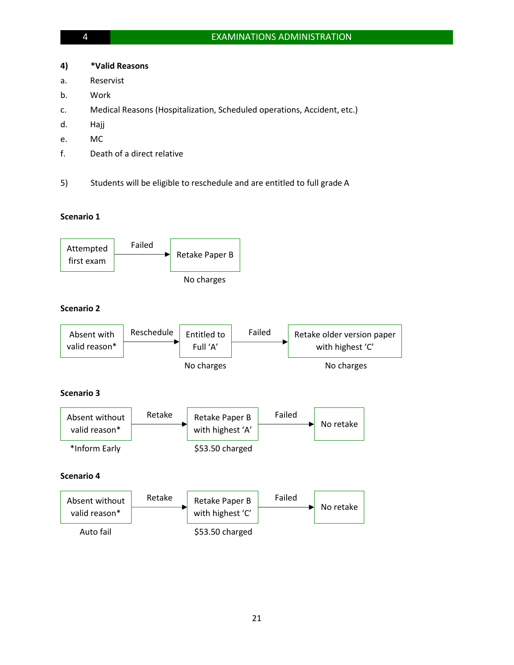### **4) \*Valid Reasons**

- a. Reservist
- b. Work
- c. Medical Reasons (Hospitalization, Scheduled operations, Accident, etc.)
- d. Hajj
- e. MC
- f. Death of a direct relative
- 5) Students will be eligible to reschedule and are entitled to full grade A

### **Scenario 1**



# **Scenario 2**



### **Scenario 3**



### **Scenario 4**

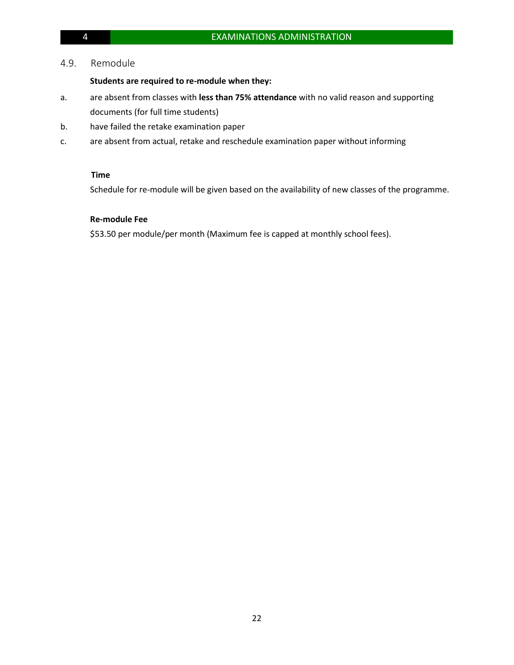### 4.9. Remodule

### **Students are required to re-module when they:**

- a. are absent from classes with **less than 75% attendance** with no valid reason and supporting documents (for full time students)
- b. have failed the retake examination paper
- c. are absent from actual, retake and reschedule examination paper without informing

### **Time**

Schedule for re-module will be given based on the availability of new classes of the programme.

### **Re-module Fee**

\$53.50 per module/per month (Maximum fee is capped at monthly school fees).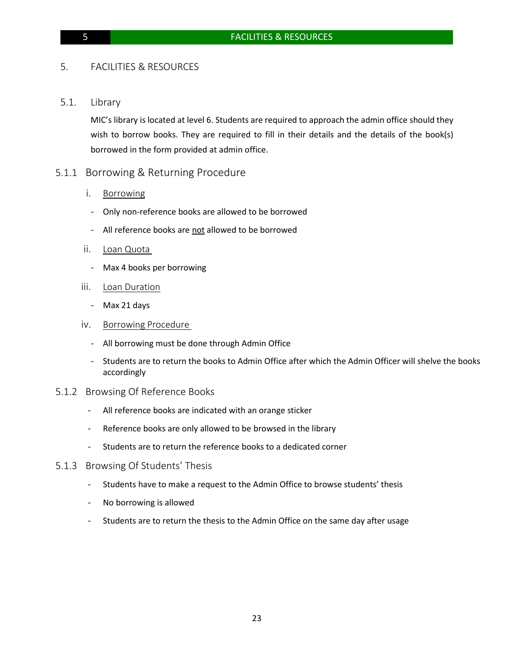### 5. FACILITIES & RESOURCES

5.1. Library

MIC's library is located at level 6. Students are required to approach the admin office should they wish to borrow books. They are required to fill in their details and the details of the book(s) borrowed in the form provided at admin office.

### 5.1.1 Borrowing & Returning Procedure

- i. Borrowing
- Only non-reference books are allowed to be borrowed
- All reference books are not allowed to be borrowed
- ii. Loan Quota
	- Max 4 books per borrowing
- iii. Loan Duration
	- Max 21 days
- iv. Borrowing Procedure
	- All borrowing must be done through Admin Office
	- Students are to return the books to Admin Office after which the Admin Officer will shelve the books accordingly
- 5.1.2 Browsing Of Reference Books
	- All reference books are indicated with an orange sticker
	- Reference books are only allowed to be browsed in the library
	- Students are to return the reference books to a dedicated corner
- 5.1.3 Browsing Of Students' Thesis
	- Students have to make a request to the Admin Office to browse students' thesis
	- No borrowing is allowed
	- Students are to return the thesis to the Admin Office on the same day after usage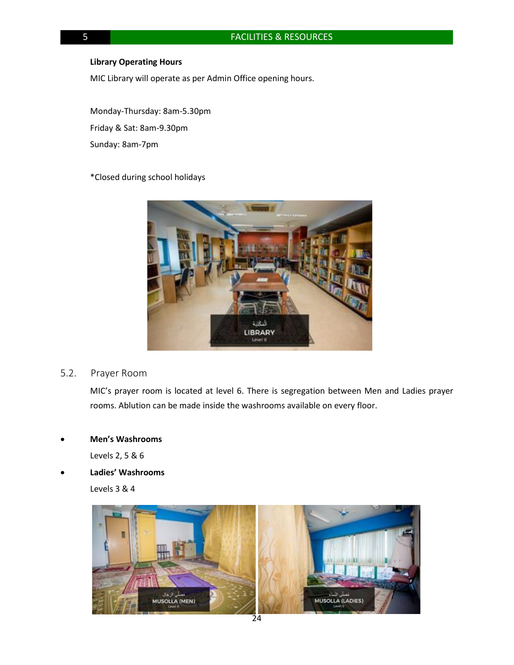### **Library Operating Hours**

MIC Library will operate as per Admin Office opening hours.

Monday-Thursday: 8am-5.30pm Friday & Sat: 8am-9.30pm Sunday: 8am-7pm

### \*Closed during school holidays



### 5.2. Prayer Room

MIC's prayer room is located at level 6. There is segregation between Men and Ladies prayer rooms. Ablution can be made inside the washrooms available on every floor.

### • **Men's Washrooms**

Levels 2, 5 & 6

• **Ladies' Washrooms**

Levels 3 & 4

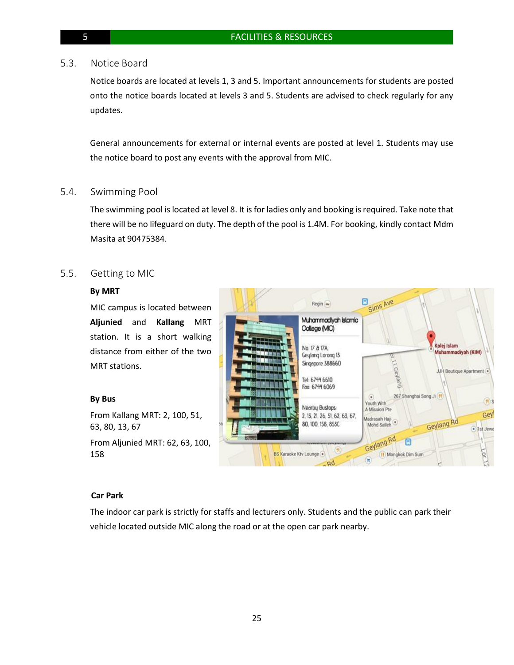### 5.3. Notice Board

Notice boards are located at levels 1, 3 and 5. Important announcements for students are posted onto the notice boards located at levels 3 and 5. Students are advised to check regularly for any updates.

General announcements for external or internal events are posted at level 1. Students may use the notice board to post any events with the approval from MIC.

### 5.4. Swimming Pool

The swimming pool is located at level 8. It is for ladies only and booking is required. Take note that there will be no lifeguard on duty. The depth of the pool is 1.4M. For booking, kindly contact Mdm Masita at 90475384.

### 5.5. Getting to MIC

### **By MRT**

MIC campus is located between **Aljunied** and **Kallang** MRT station. It is a short walking distance from either of the two MRT stations.

### **By Bus**

From Kallang MRT: 2, 100, 51, 63, 80, 13, 67

From Aljunied MRT: 62, 63, 100, 158



### **Car Park**

The indoor car park is strictly for staffs and lecturers only. Students and the public can park their vehicle located outside MIC along the road or at the open car park nearby.